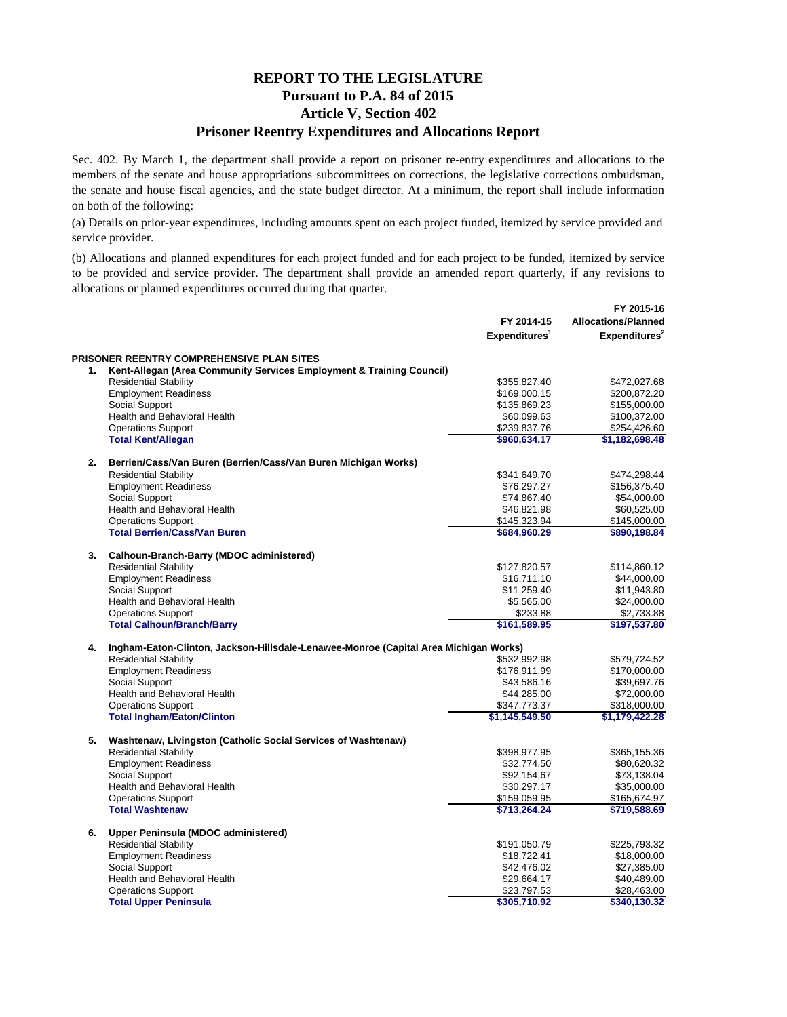## **REPORT TO THE LEGISLATURE Pursuant to P.A. 84 of 2015 Article V, Section 402 Prisoner Reentry Expenditures and Allocations Report**

Sec. 402. By March 1, the department shall provide a report on prisoner re-entry expenditures and allocations to the members of the senate and house appropriations subcommittees on corrections, the legislative corrections ombudsman, the senate and house fiscal agencies, and the state budget director. At a minimum, the report shall include information on both of the following:

(a) Details on prior-year expenditures, including amounts spent on each project funded, itemized by service provided and service provider.

(b) Allocations and planned expenditures for each project funded and for each project to be funded, itemized by service to be provided and service provider. The department shall provide an amended report quarterly, if any revisions to allocations or planned expenditures occurred during that quarter.

|    |                                                                                      | FY 2014-15                | FY 2015-16<br><b>Allocations/Planned</b> |  |  |
|----|--------------------------------------------------------------------------------------|---------------------------|------------------------------------------|--|--|
|    |                                                                                      | Expenditures <sup>1</sup> | Expenditures <sup>2</sup>                |  |  |
|    | PRISONER REENTRY COMPREHENSIVE PLAN SITES                                            |                           |                                          |  |  |
| 1. | Kent-Allegan (Area Community Services Employment & Training Council)                 |                           |                                          |  |  |
|    | <b>Residential Stability</b>                                                         | \$355,827.40              | \$472,027.68                             |  |  |
|    | <b>Employment Readiness</b>                                                          | \$169,000.15              | \$200,872.20                             |  |  |
|    | Social Support                                                                       | \$135,869.23              | \$155,000.00                             |  |  |
|    | Health and Behavioral Health                                                         | \$60,099.63               | \$100,372.00                             |  |  |
|    | <b>Operations Support</b>                                                            | \$239,837.76              | \$254,426.60                             |  |  |
|    | <b>Total Kent/Allegan</b>                                                            | \$960,634.17              | \$1,182,698.48                           |  |  |
| 2. | Berrien/Cass/Van Buren (Berrien/Cass/Van Buren Michigan Works)                       |                           |                                          |  |  |
|    | <b>Residential Stability</b>                                                         | \$341,649.70              | \$474,298.44                             |  |  |
|    | <b>Employment Readiness</b>                                                          | \$76,297.27               | \$156,375.40                             |  |  |
|    | Social Support                                                                       | \$74,867.40               | \$54,000.00                              |  |  |
|    | Health and Behavioral Health                                                         | \$46,821.98               | \$60,525.00                              |  |  |
|    | <b>Operations Support</b>                                                            | \$145,323.94              | \$145,000.00                             |  |  |
|    | <b>Total Berrien/Cass/Van Buren</b>                                                  | \$684,960.29              | \$890,198.84                             |  |  |
| 3. | Calhoun-Branch-Barry (MDOC administered)                                             |                           |                                          |  |  |
|    | <b>Residential Stability</b>                                                         | \$127,820.57              | \$114,860.12                             |  |  |
|    | <b>Employment Readiness</b>                                                          | \$16,711.10               | \$44,000.00                              |  |  |
|    | Social Support                                                                       | \$11,259.40               | \$11,943.80                              |  |  |
|    | Health and Behavioral Health                                                         | \$5,565.00                | \$24,000.00                              |  |  |
|    | <b>Operations Support</b>                                                            | \$233.88                  | \$2,733.88                               |  |  |
|    | <b>Total Calhoun/Branch/Barry</b>                                                    | \$161,589.95              | \$197,537.80                             |  |  |
| 4. | Ingham-Eaton-Clinton, Jackson-Hillsdale-Lenawee-Monroe (Capital Area Michigan Works) |                           |                                          |  |  |
|    | <b>Residential Stability</b>                                                         | \$532,992.98              | \$579,724.52                             |  |  |
|    | <b>Employment Readiness</b>                                                          | \$176,911.99              | \$170,000.00                             |  |  |
|    | Social Support                                                                       | \$43,586.16               | \$39,697.76                              |  |  |
|    | Health and Behavioral Health                                                         | \$44,285.00               | \$72,000.00                              |  |  |
|    | <b>Operations Support</b>                                                            | \$347,773.37              | \$318,000.00                             |  |  |
|    | <b>Total Ingham/Eaton/Clinton</b>                                                    | \$1,145,549.50            | \$1,179,422.28                           |  |  |
| 5. | Washtenaw, Livingston (Catholic Social Services of Washtenaw)                        |                           |                                          |  |  |
|    | <b>Residential Stability</b>                                                         | \$398,977.95              | \$365,155.36                             |  |  |
|    | <b>Employment Readiness</b>                                                          | \$32,774.50               | \$80,620.32                              |  |  |
|    | Social Support                                                                       | \$92,154.67               | \$73,138.04                              |  |  |
|    | Health and Behavioral Health                                                         | \$30,297.17               | \$35,000.00                              |  |  |
|    | <b>Operations Support</b>                                                            | \$159,059.95              | \$165,674.97                             |  |  |
|    | <b>Total Washtenaw</b>                                                               | \$713,264.24              | \$719,588.69                             |  |  |
| 6. | Upper Peninsula (MDOC administered)                                                  |                           |                                          |  |  |
|    | <b>Residential Stability</b>                                                         | \$191,050.79              | \$225,793.32                             |  |  |
|    | <b>Employment Readiness</b>                                                          | \$18,722.41               | \$18,000.00                              |  |  |
|    | Social Support                                                                       | \$42,476.02               | \$27,385.00                              |  |  |
|    | Health and Behavioral Health                                                         | \$29,664.17               | \$40,489.00                              |  |  |
|    | <b>Operations Support</b>                                                            | \$23,797.53               | \$28,463.00                              |  |  |
|    | <b>Total Upper Peninsula</b>                                                         | \$305,710.92              | \$340,130.32                             |  |  |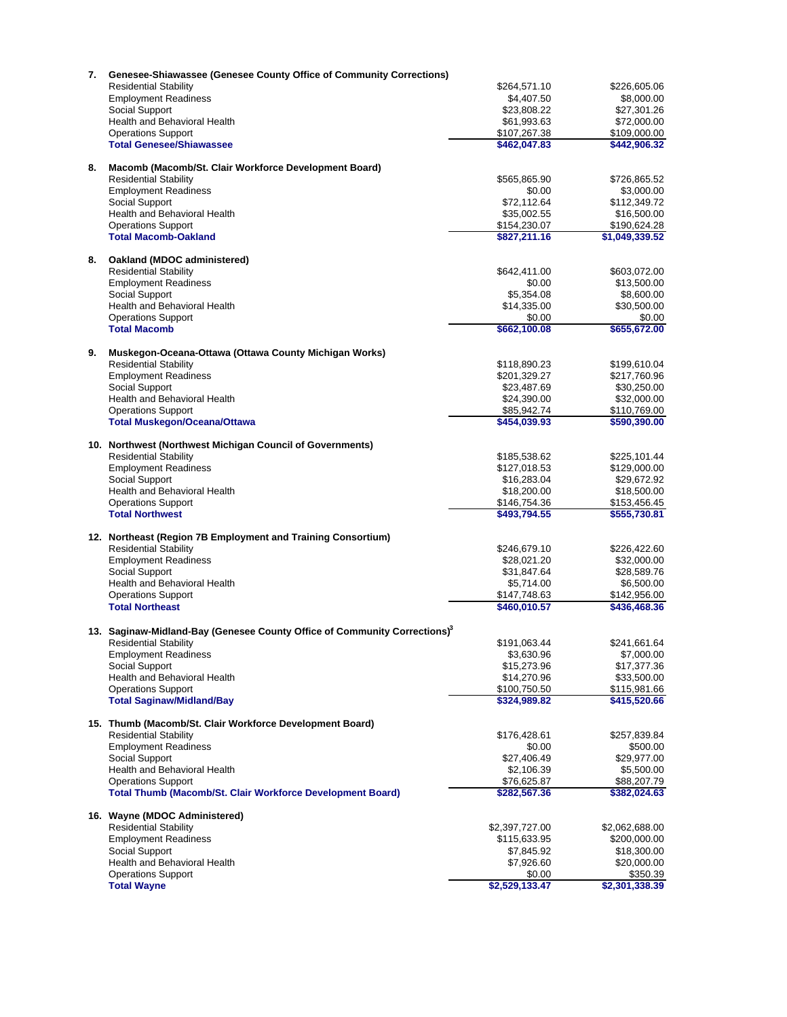| 7. | <b>Genesee-Shiawassee (Genesee County Office of Community Corrections)</b>            |                |                              |
|----|---------------------------------------------------------------------------------------|----------------|------------------------------|
|    | <b>Residential Stability</b>                                                          | \$264,571.10   | \$226,605.06                 |
|    | <b>Employment Readiness</b>                                                           | \$4,407.50     | \$8,000.00                   |
|    | Social Support                                                                        | \$23,808.22    | \$27,301.26                  |
|    | Health and Behavioral Health                                                          | \$61,993.63    | \$72,000.00                  |
|    | <b>Operations Support</b>                                                             | \$107,267.38   | \$109,000.00                 |
|    | <b>Total Genesee/Shiawassee</b>                                                       | \$462,047.83   | \$442,906.32                 |
|    |                                                                                       |                |                              |
| 8. | Macomb (Macomb/St. Clair Workforce Development Board)                                 |                |                              |
|    | <b>Residential Stability</b>                                                          | \$565,865.90   | \$726,865.52                 |
|    | <b>Employment Readiness</b>                                                           | \$0.00         | \$3,000.00                   |
|    | Social Support                                                                        | \$72,112.64    | \$112,349.72                 |
|    | Health and Behavioral Health                                                          | \$35,002.55    | \$16,500.00                  |
|    | <b>Operations Support</b>                                                             | \$154,230.07   | \$190,624.28                 |
|    | <b>Total Macomb-Oakland</b>                                                           | \$827,211.16   | \$1,049,339.52               |
| 8. | Oakland (MDOC administered)                                                           |                |                              |
|    | <b>Residential Stability</b>                                                          | \$642,411.00   | \$603,072.00                 |
|    | <b>Employment Readiness</b>                                                           | \$0.00         | \$13,500.00                  |
|    | Social Support                                                                        | \$5,354.08     | \$8,600.00                   |
|    | Health and Behavioral Health                                                          | \$14,335.00    | \$30,500.00                  |
|    | <b>Operations Support</b>                                                             | \$0.00         | \$0.00                       |
|    | <b>Total Macomb</b>                                                                   | \$662,100.08   | \$655,672.00                 |
|    |                                                                                       |                |                              |
| 9. | Muskegon-Oceana-Ottawa (Ottawa County Michigan Works)                                 |                |                              |
|    | <b>Residential Stability</b>                                                          | \$118,890.23   | \$199,610.04                 |
|    | <b>Employment Readiness</b>                                                           | \$201,329.27   | \$217,760.96                 |
|    | Social Support                                                                        | \$23,487.69    | \$30,250.00                  |
|    | Health and Behavioral Health                                                          | \$24,390.00    | \$32,000.00                  |
|    | <b>Operations Support</b>                                                             | \$85,942.74    | \$110,769.00                 |
|    | <b>Total Muskegon/Oceana/Ottawa</b>                                                   | \$454,039.93   | \$590,390.00                 |
|    | 10. Northwest (Northwest Michigan Council of Governments)                             |                |                              |
|    | <b>Residential Stability</b>                                                          | \$185,538.62   | \$225,101.44                 |
|    | <b>Employment Readiness</b>                                                           | \$127,018.53   | \$129,000.00                 |
|    | Social Support                                                                        | \$16,283.04    | \$29,672.92                  |
|    | Health and Behavioral Health                                                          | \$18,200.00    | \$18,500.00                  |
|    |                                                                                       | \$146,754.36   |                              |
|    | <b>Operations Support</b><br><b>Total Northwest</b>                                   | \$493,794.55   | \$153,456.45<br>\$555,730.81 |
|    |                                                                                       |                |                              |
|    | 12. Northeast (Region 7B Employment and Training Consortium)                          |                |                              |
|    | <b>Residential Stability</b>                                                          | \$246,679.10   | \$226,422.60                 |
|    | <b>Employment Readiness</b>                                                           | \$28,021.20    | \$32,000.00                  |
|    | Social Support                                                                        | \$31,847.64    | \$28,589.76                  |
|    | Health and Behavioral Health                                                          | \$5,714.00     | \$6,500.00                   |
|    | <b>Operations Support</b>                                                             | \$147,748.63   | \$142,956.00                 |
|    | <b>Total Northeast</b>                                                                | \$460,010.57   | \$436,468.36                 |
|    | 13. Saginaw-Midland-Bay (Genesee County Office of Community Corrections) <sup>3</sup> |                |                              |
|    | <b>Residential Stability</b>                                                          | \$191,063.44   | \$241,661.64                 |
|    | <b>Employment Readiness</b>                                                           | \$3,630.96     | \$7,000.00                   |
|    | Social Support                                                                        | \$15,273.96    | \$17,377.36                  |
|    | Health and Behavioral Health                                                          | \$14,270.96    | \$33,500.00                  |
|    | <b>Operations Support</b>                                                             | \$100,750.50   |                              |
|    | <b>Total Saginaw/Midland/Bay</b>                                                      | \$324,989.82   | \$115,981.66<br>\$415,520.66 |
|    |                                                                                       |                |                              |
|    | 15. Thumb (Macomb/St. Clair Workforce Development Board)                              |                |                              |
|    | <b>Residential Stability</b>                                                          | \$176,428.61   | \$257,839.84                 |
|    | <b>Employment Readiness</b>                                                           | \$0.00         | \$500.00                     |
|    | Social Support                                                                        | \$27,406.49    | \$29,977.00                  |
|    | Health and Behavioral Health                                                          | \$2,106.39     | \$5,500.00                   |
|    | <b>Operations Support</b>                                                             | \$76,625.87    | \$88,207.79                  |
|    | <b>Total Thumb (Macomb/St. Clair Workforce Development Board)</b>                     | \$282,567.36   | \$382,024.63                 |
|    | 16. Wayne (MDOC Administered)                                                         |                |                              |
|    | <b>Residential Stability</b>                                                          | \$2,397,727.00 | \$2,062,688.00               |
|    | <b>Employment Readiness</b>                                                           | \$115,633.95   | \$200,000.00                 |
|    | Social Support                                                                        | \$7,845.92     | \$18,300.00                  |
|    | Health and Behavioral Health                                                          | \$7,926.60     | \$20,000.00                  |
|    | <b>Operations Support</b>                                                             | \$0.00         | \$350.39                     |
|    | <b>Total Wayne</b>                                                                    | \$2,529,133.47 | \$2,301,338.39               |
|    |                                                                                       |                |                              |